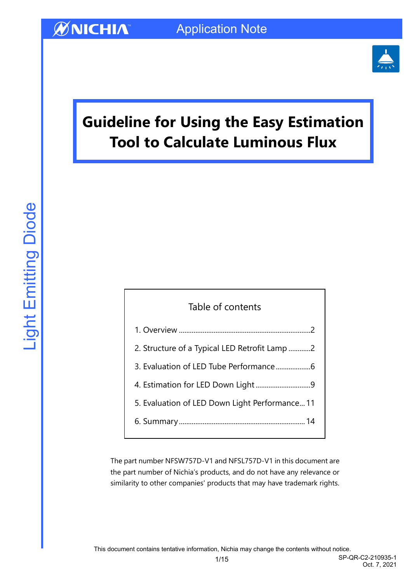

# **Guideline for Using the Easy Estimation Tool to Calculate Luminous Flux**

| Table of contents                             |
|-----------------------------------------------|
|                                               |
| 2. Structure of a Typical LED Retrofit Lamp 2 |
|                                               |
|                                               |
| 5. Evaluation of LED Down Light Performance11 |
|                                               |
|                                               |

The part number NFSW757D-V1 and NFSL757D-V1 in this document are the part number of Nichia's products, and do not have any relevance or similarity to other companies' products that may have trademark rights.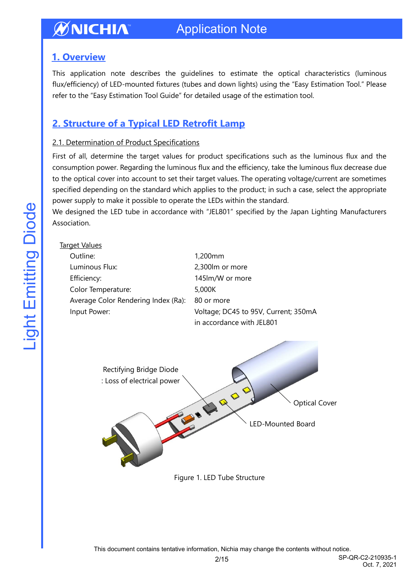### <span id="page-1-0"></span>**1. Overview**

This application note describes the guidelines to estimate the optical characteristics (luminous flux/efficiency) of LED-mounted fixtures (tubes and down lights) using the "Easy Estimation Tool." Please refer to the "Easy Estimation Tool Guide" for detailed usage of the estimation tool.

### <span id="page-1-1"></span>**2. Structure of a Typical LED Retrofit Lamp**

#### 2.1. Determination of Product Specifications

First of all, determine the target values for product specifications such as the luminous flux and the consumption power. Regarding the luminous flux and the efficiency, take the luminous flux decrease due to the optical cover into account to set their target values. The operating voltage/current are sometimes specified depending on the standard which applies to the product; in such a case, select the appropriate power supply to make it possible to operate the LEDs within the standard.

We designed the LED tube in accordance with "JEL801" specified by the Japan Lighting Manufacturers Association.

| <b>Target Values</b>                                  |                                                        |
|-------------------------------------------------------|--------------------------------------------------------|
| Outline:                                              | 1,200mm                                                |
| Luminous Flux:                                        | 2,300lm or more                                        |
| Efficiency:                                           | 145lm/W or more                                        |
| Color Temperature:                                    | 5,000K                                                 |
| Average Color Rendering Index (Ra):                   | 80 or more                                             |
| Input Power:                                          | Voltage; DC45 to 95V, Current; 350mA                   |
|                                                       | in accordance with JEL801                              |
| Rectifying Bridge Diode<br>: Loss of electrical power | QQ<br><b>Optical Cover</b><br><b>LED-Mounted Board</b> |

Figure 1. LED Tube Structure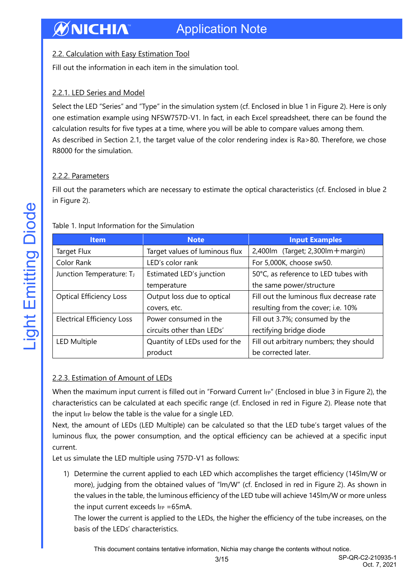#### 2.2. Calculation with Easy Estimation Tool

Fill out the information in each item in the simulation tool.

#### 2.2.1. LED Series and Model

Select the LED "Series" and "Type" in the simulation system (cf. Enclosed in blue 1 in Figure 2). Here is only one estimation example using NFSW757D-V1. In fact, in each Excel spreadsheet, there can be found the calculation results for five types at a time, where you will be able to compare values among them. As described in Section 2.1, the target value of the color rendering index is Ra>80. Therefore, we chose R8000 for the simulation.

#### 2.2.2. Parameters

Fill out the parameters which are necessary to estimate the optical characteristics (cf. Enclosed in blue 2 in Figure 2).

| <b>Item</b>                       | <b>Note</b>                    | <b>Input Examples</b>                    |
|-----------------------------------|--------------------------------|------------------------------------------|
| Target Flux                       | Target values of luminous flux | $2,400$ lm (Target; 2,300lm + margin)    |
| Color Rank                        | LED's color rank               | For 5,000K, choose sw50.                 |
| Junction Temperature: TJ          | Estimated LED's junction       | 50°C, as reference to LED tubes with     |
|                                   | temperature                    | the same power/structure                 |
| <b>Optical Efficiency Loss</b>    | Output loss due to optical     | Fill out the luminous flux decrease rate |
|                                   | covers, etc.                   | resulting from the cover; i.e. 10%       |
| <b>Electrical Efficiency Loss</b> | Power consumed in the          | Fill out 3.7%; consumed by the           |
|                                   | circuits other than LEDs'      | rectifying bridge diode                  |
| LED Multiple                      | Quantity of LEDs used for the  | Fill out arbitrary numbers; they should  |
|                                   | product                        | be corrected later.                      |

#### Table 1. Input Information for the Simulation

#### 2.2.3. Estimation of Amount of LEDs

When the maximum input current is filled out in "Forward Current I<sub>FP</sub>" (Enclosed in blue 3 in Figure 2), the characteristics can be calculated at each specific range (cf. Enclosed in red in Figure 2). Please note that the input IFP below the table is the value for a single LED.

Next, the amount of LEDs (LED Multiple) can be calculated so that the LED tube's target values of the luminous flux, the power consumption, and the optical efficiency can be achieved at a specific input current.

Let us simulate the LED multiple using 757D-V1 as follows:

1) Determine the current applied to each LED which accomplishes the target efficiency (145lm/W or more), judging from the obtained values of "lm/W" (cf. Enclosed in red in Figure 2). As shown in the values in the table, the luminous efficiency of the LED tube will achieve 145lm/W or more unless the input current exceeds  $I_{FP} = 65mA$ .

The lower the current is applied to the LEDs, the higher the efficiency of the tube increases, on the basis of the LEDs' characteristics.

This document contains tentative information, Nichia may change the contents without notice.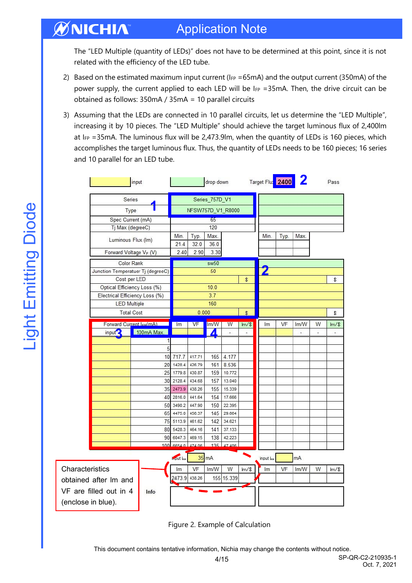## Application Note

The "LED Multiple (quantity of LEDs)" does not have to be determined at this point, since it is not related with the efficiency of the LED tube.

- 2) Based on the estimated maximum input current ( $I_{FP} = 65$  mA) and the output current (350 mA) of the power supply, the current applied to each LED will be IFP = 35mA. Then, the drive circuit can be obtained as follows: 350mA / 35mA = 10 parallel circuits
- 3) Assuming that the LEDs are connected in 10 parallel circuits, let us determine the "LED Multiple", increasing it by 10 pieces. The "LED Multiple" should achieve the target luminous flux of 2,400lm at IFP = 35mA. The luminous flux will be 2,473.9lm, when the quantity of LEDs is 160 pieces, which accomplishes the target luminous flux. Thus, the quantity of LEDs needs to be 160 pieces; 16 series and 10 parallel for an LED tube.

|                    |                                | input                             |                      |                  | drop down       |                  |                | Target Flux 2400 |      |      |   | Pass    |
|--------------------|--------------------------------|-----------------------------------|----------------------|------------------|-----------------|------------------|----------------|------------------|------|------|---|---------|
|                    | Series                         |                                   | Series_757D_V1       |                  |                 |                  |                |                  |      |      |   |         |
|                    | Type                           |                                   | NFSW757D_V1_R8000    |                  |                 |                  |                |                  |      |      |   |         |
|                    | Spec Current (mA)              |                                   |                      |                  | 65              |                  |                |                  |      |      |   |         |
|                    | Tj Max (degreeC)               |                                   |                      |                  | 120             |                  |                |                  |      |      |   |         |
|                    | Luminous Flux (Im)             |                                   | Min.<br>21.4         | Typ.<br>32.0     | Max.<br>36.0    |                  |                | Min.             | Typ. | Max. |   |         |
|                    |                                | Forward Voltage VF (V)            | 2.40                 | 2.90             | 3.30            |                  |                |                  |      |      |   |         |
|                    |                                | Color Rank                        |                      |                  | sw50            |                  |                |                  |      |      |   |         |
|                    |                                | Junction Temperatuer Tj (degreeC) |                      |                  | 50              |                  |                |                  |      |      |   |         |
|                    | Cost per LED                   |                                   |                      |                  |                 |                  | \$             |                  |      |      |   | \$      |
|                    |                                | Optical Efficiency Loss (%)       |                      |                  | 10.0            |                  |                |                  |      |      |   |         |
|                    | Electrical Efficiency Loss (%) |                                   |                      |                  | 3.7             |                  |                |                  |      |      |   |         |
|                    | <b>LED Multiple</b>            |                                   |                      |                  | 160             |                  |                |                  |      |      |   |         |
|                    |                                | <b>Total Cost</b>                 |                      | 0.000            |                 |                  | \$             |                  |      |      |   | \$      |
|                    |                                | Forward Current Ico(mA)           | Im                   | VF               | Im/W            | W                | $\text{Im}/\$$ | Im               | VF   | Im/W | W | $Im/\$  |
|                    | input <sup>2</sup>             | 100mA Max.                        |                      |                  | ◢               | ä,               |                |                  |      |      |   |         |
|                    |                                | 1                                 |                      |                  |                 |                  |                |                  |      |      |   |         |
|                    |                                | 5                                 |                      |                  |                 |                  |                |                  |      |      |   |         |
|                    |                                | 10                                | 717.7                | 417.71           | 165             | 4.177            |                |                  |      |      |   |         |
|                    |                                | 20                                | 1428.4               | 426.79           | 161             | 8.536            |                |                  |      |      |   |         |
|                    |                                | 25                                | 1779.8               | 430.87           | 159             | 10.772           |                |                  |      |      |   |         |
|                    |                                | 30                                | 2128.4               | 434.68           | 157             | 13.040           |                |                  |      |      |   |         |
|                    |                                | 35<br>40                          | 2473.9<br>2816.0     | 438.26<br>441.64 | 155             | 15.339<br>17.666 |                |                  |      |      |   |         |
|                    |                                | 50                                | 3490.2               | 447.90           | 154<br>150      | 22.395           |                |                  |      |      |   |         |
|                    |                                | 65                                | 4475.0               | 456.37           | 145             | 29.664           |                |                  |      |      |   |         |
|                    |                                | 75                                | 5113.9               | 461.62           | 142             | 34.621           |                |                  |      |      |   |         |
|                    |                                | 80                                | 5428.3               | 464.16           | 141             | 37.133           |                |                  |      |      |   |         |
|                    |                                | 90                                | 6047.3               | 469.15           | 138             | 42.223           |                |                  |      |      |   |         |
|                    |                                | 100                               | 6654.0               | 474.06           | 135             | 47 406           |                |                  |      |      |   |         |
|                    |                                |                                   | imput <sub>lee</sub> |                  | $35 \text{ mA}$ |                  |                | input lee        |      | mA   |   |         |
| Characteristics    |                                |                                   | lm                   | VF               | Im/W            | W                | Im/s           | Im               | VF   | Im/W | W | $Im/\$$ |
|                    | obtained after Im and          |                                   | 2473.9               | 438.26           |                 | 155 15.339       |                |                  |      |      |   |         |
|                    | VF are filled out in 4         | Info                              |                      |                  |                 |                  |                |                  |      |      |   |         |
| (enclose in blue). |                                |                                   |                      |                  |                 |                  |                |                  |      |      |   |         |

Figure 2. Example of Calculation

This document contains tentative information, Nichia may change the contents without notice.

ØNICHIA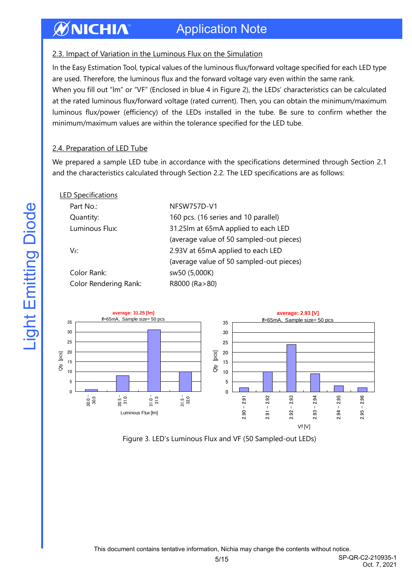#### **ØNICHIA** Application Note

#### 2.3. Impact of Variation in the Luminous Flux on the Simulation

In the Easy Estimation Tool, typical values of the luminous flux/forward voltage specified for each LED type are used. Therefore, the luminous flux and the forward voltage vary even within the same rank.

When you fill out "lm" or "VF" (Enclosed in blue 4 in Figure 2), the LEDs' characteristics can be calculated at the rated luminous flux/forward voltage (rated current). Then, you can obtain the minimum/maximum luminous flux/power (efficiency) of the LEDs installed in the tube. Be sure to confirm whether the minimum/maximum values are within the tolerance specified for the LED tube.

#### 2.4. Preparation of LED Tube

We prepared a sample LED tube in accordance with the specifications determined through Section 2.1 and the characteristics calculated through Section 2.2. The LED specifications are as follows:

| <b>LED Specifications</b>    |                                          |
|------------------------------|------------------------------------------|
| Part No.:                    | NFSW757D-V1                              |
| Quantity:                    | 160 pcs. (16 series and 10 parallel)     |
| Luminous Flux:               | 31.25lm at 65mA applied to each LED      |
|                              | (average value of 50 sampled-out pieces) |
| VF:                          | 2.93V at 65mA applied to each LED        |
|                              | (average value of 50 sampled-out pieces) |
| Color Rank:                  | sw50 (5,000K)                            |
| <b>Color Rendering Rank:</b> | R8000 (Ra>80)                            |
|                              |                                          |



Figure 3. LED's Luminous Flux and VF (50 Sampled-out LEDs)

Oct. 7, 2021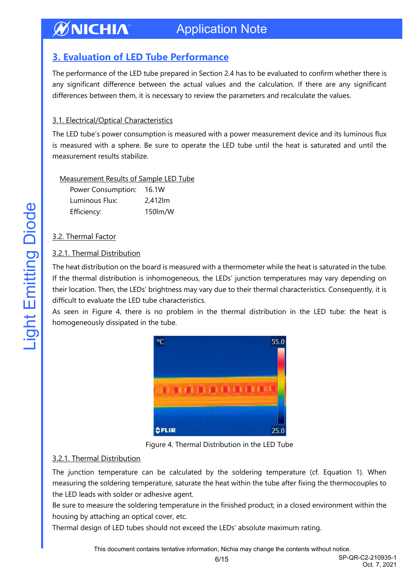### <span id="page-5-0"></span>**3. Evaluation of LED Tube Performance**

The performance of the LED tube prepared in Section 2.4 has to be evaluated to confirm whether there is any significant difference between the actual values and the calculation. If there are any significant differences between them, it is necessary to review the parameters and recalculate the values.

#### 3.1. Electrical/Optical Characteristics

The LED tube's power consumption is measured with a power measurement device and its luminous flux is measured with a sphere. Be sure to operate the LED tube until the heat is saturated and until the measurement results stabilize.

| Measurement Results of Sample LED Tube |  |  |
|----------------------------------------|--|--|
|                                        |  |  |
|                                        |  |  |

| Power Consumption: | 16.1W   |
|--------------------|---------|
| Luminous Flux:     | 2,412lm |
| Efficiency:        | 150lm/W |

#### 3.2. Thermal Factor

#### 3.2.1. Thermal Distribution

The heat distribution on the board is measured with a thermometer while the heat is saturated in the tube. If the thermal distribution is inhomogeneous, the LEDs' junction temperatures may vary depending on their location. Then, the LEDs' brightness may vary due to their thermal characteristics. Consequently, it is difficult to evaluate the LED tube characteristics.

As seen in Figure 4, there is no problem in the thermal distribution in the LED tube: the heat is homogeneously dissipated in the tube.



Figure 4. Thermal Distribution in the LED Tube

#### 3.2.1. Thermal Distribution

The junction temperature can be calculated by the soldering temperature (cf. Equation 1). When measuring the soldering temperature, saturate the heat within the tube after fixing the thermocouples to the LED leads with solder or adhesive agent.

Be sure to measure the soldering temperature in the finished product; in a closed environment within the housing by attaching an optical cover, etc.

Thermal design of LED tubes should not exceed the LEDs' absolute maximum rating.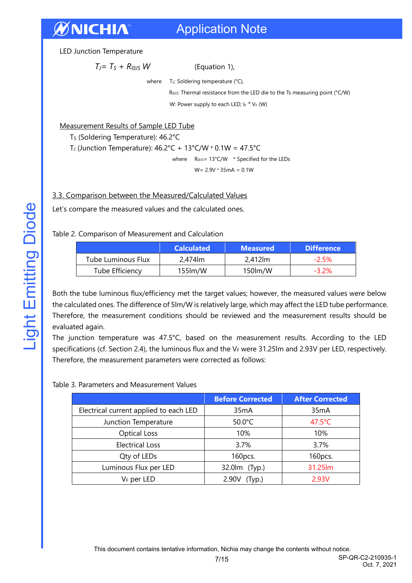LED Junction Temperature

$$
T_J = T_S + R_{OJS} W
$$
 (Equation 1),

where  $T_S$ : Soldering temperature ( $°C$ ),

RΘJS: Thermal resistance from the LED die to the Ts measuring point (°C/W) W: Power supply to each LED;  $I_F$   $X$   $V_F$  (W)

#### Measurement Results of Sample LED Tube

T<sub>S</sub> (Soldering Temperature): 46.2°C

T<sub>J</sub> (Junction Temperature):  $46.2^{\circ}C + 13^{\circ}C/W \times 0.1W = 47.5^{\circ}C$ 

where R<sub>ΘJS</sub>= 13°C/W \* Specified for the LEDs

 $W = 2.9V * 35mA = 0.1W$ 

#### 3.3. Comparison between the Measured/Calculated Values

Let's compare the measured values and the calculated ones.

Table 2. Comparison of Measurement and Calculation

|                    | <b>Calculated</b>          | <b>Measured</b> | <b>Difference</b> |
|--------------------|----------------------------|-----------------|-------------------|
| Tube Luminous Flux | 2.474 m                    | 2.412 lm        | $-2.5%$           |
| Tube Efficiency    | $155$ $\text{Im}/\text{W}$ | 150 lm/W        | $-3.2\%$          |

Both the tube luminous flux/efficiency met the target values; however, the measured values were below the calculated ones. The difference of 5lm/W is relatively large, which may affect the LED tube performance. Therefore, the measurement conditions should be reviewed and the measurement results should be evaluated again.

The junction temperature was 47.5°C, based on the measurement results. According to the LED specifications (cf. Section 2.4), the luminous flux and the VF were 31.25lm and 2.93V per LED, respectively. Therefore, the measurement parameters were corrected as follows:

#### Table 3. Parameters and Measurement Values

|                                        | <b>Before Corrected</b> | <b>After Corrected</b> |
|----------------------------------------|-------------------------|------------------------|
| Electrical current applied to each LED | 35mA                    | 35mA                   |
| Junction Temperature                   | 50.0°C                  | $47.5^{\circ}$ C       |
| <b>Optical Loss</b>                    | 10%                     | 10%                    |
| <b>Electrical Loss</b>                 | 3.7%                    | 3.7%                   |
| Qty of LEDs                            | 160pcs.                 | 160pcs.                |
| Luminous Flux per LED                  | 32.0lm (Typ.)           | 31.25lm                |
| $V_F$ per LED                          | 2.90V<br>(Typ.)         | 2.93V                  |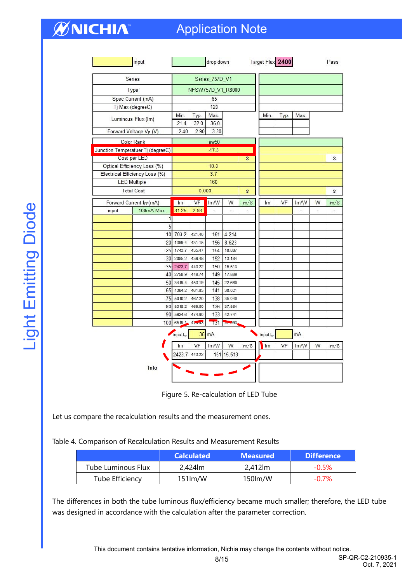## Application Note

|                         | input                             |                   |                  | drop down                 |                  |                | Target Flux 2400 |      |                          |                          | Pass    |
|-------------------------|-----------------------------------|-------------------|------------------|---------------------------|------------------|----------------|------------------|------|--------------------------|--------------------------|---------|
|                         | Series                            |                   |                  | Series_757D_V1            |                  |                |                  |      |                          |                          |         |
|                         | Type                              | NFSW757D_V1_R8000 |                  |                           |                  |                |                  |      |                          |                          |         |
|                         | Spec Current (mA)                 |                   |                  | 65                        |                  |                |                  |      |                          |                          |         |
| Tj Max (degreeC)        |                                   |                   |                  | 120                       |                  |                |                  |      |                          |                          |         |
|                         | Luminous Flux (Im)                | Min.<br>21.4      | Typ.<br>32.0     | Max.<br>36.0              |                  |                | Min.             | Typ. | Max.                     |                          |         |
|                         | Forward Voltage VF (V)            | 2.40              | 2.90             | 3.30                      |                  |                |                  |      |                          |                          |         |
|                         | <b>Color Rank</b>                 |                   |                  | sw50                      |                  |                |                  |      |                          |                          |         |
|                         | Junction Temperatuer Tj (degreeC) |                   |                  | 47.5                      |                  |                |                  |      |                          |                          |         |
|                         | Cost per LED                      |                   |                  |                           |                  | \$             |                  |      |                          |                          | \$      |
|                         | Optical Efficiency Loss (%)       |                   |                  | 10.0                      |                  |                |                  |      |                          |                          |         |
|                         | Electrical Efficiency Loss (%)    |                   |                  | 3.7                       |                  |                |                  |      |                          |                          |         |
| <b>LED Multiple</b>     |                                   |                   |                  | 160                       |                  |                |                  |      |                          |                          |         |
|                         | <b>Total Cost</b>                 |                   | 0.000            |                           |                  | \$             |                  |      |                          |                          | \$      |
| Forward Current IFP(mA) |                                   | Im                | VF               | Im/W                      | W                | $\text{Im}/\$$ | Im               | VF   | Im/W                     | W                        | $Im/\$  |
| input                   | 100mA Max.                        | 31.25             | 2.93             | ×,                        | $\sim$           | ä,             |                  |      | $\overline{\phantom{a}}$ | $\overline{\phantom{a}}$ |         |
|                         | 1                                 |                   |                  |                           |                  |                |                  |      |                          |                          |         |
|                         | 5                                 |                   |                  |                           |                  |                |                  |      |                          |                          |         |
|                         |                                   | 10 703.2          | 421.40           | 161                       | 4.214            |                |                  |      |                          |                          |         |
|                         |                                   | 20 1399.4         | 431.15           | 156                       | 8.623            |                |                  |      |                          |                          |         |
|                         |                                   | 25 1743.7         | 435.47           | 154                       | 10.887           |                |                  |      |                          |                          |         |
|                         | 30                                | 2085.2            | 439.48           | 152                       | 13.184           |                |                  |      |                          |                          |         |
|                         | 35                                | 2423.7            | 443.22           | 150                       | 15.513           |                |                  |      |                          |                          |         |
|                         | 40                                | 2758.9            | 446.74           | 149                       | 17.869           |                |                  |      |                          |                          |         |
|                         | 50                                | 3419.4            | 453.19           | 145                       | 22.660           |                |                  |      |                          |                          |         |
|                         | 65<br>75                          | 4384.2<br>5010.2  | 461.85<br>467.20 | 141<br>138                | 30.021<br>35.040 |                |                  |      |                          |                          |         |
|                         | 80                                | 5318.2            | 469.80           | 136                       | 37.584           |                |                  |      |                          |                          |         |
|                         | 90                                | 5924.6            | 474.90           | 133                       | 42.741           |                |                  |      |                          |                          |         |
|                         | 100                               | 6519.1            | $47 - 5$         | $\overline{151}$          | $-293$           |                |                  |      |                          |                          |         |
|                         |                                   | input lee<br>Im   | VF               | $35 \, \text{mA}$<br>Im/W | W                | $Im/\$$        | input lee<br>Im  | VF   | mA<br>Im/W               | W                        | $Im/\$$ |
|                         | Info                              | 2423.7            | 443.22           |                           | 151 15.513       |                |                  |      |                          |                          |         |

Figure 5. Re-calculation of LED Tube

Let us compare the recalculation results and the measurement ones.

Table 4. Comparison of Recalculation Results and Measurement Results

|                    | <b>Calculated</b> | <b>Measured</b> | <b>Difference</b> |
|--------------------|-------------------|-----------------|-------------------|
| Tube Luminous Flux | 2,424m            | 2,412 lm        | $-0.5\%$          |
| Tube Efficiency    | $151$ lm/W        | 150lm/W         | $-0.7\%$          |

The differences in both the tube luminous flux/efficiency became much smaller; therefore, the LED tube was designed in accordance with the calculation after the parameter correction.

This document contains tentative information, Nichia may change the contents without notice.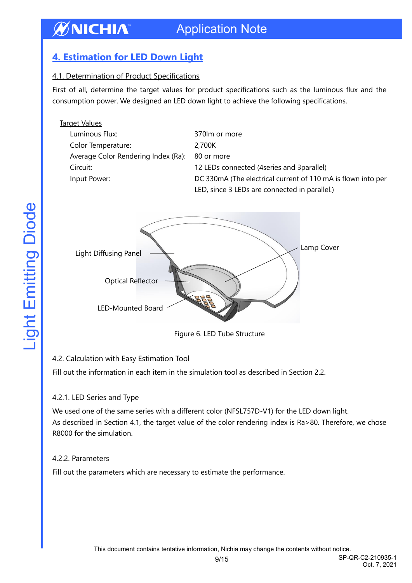### Application Note

### <span id="page-8-0"></span>**4. Estimation for LED Down Light**

**ØNICHIA** 

#### 4.1. Determination of Product Specifications

First of all, determine the target values for product specifications such as the luminous flux and the consumption power. We designed an LED down light to achieve the following specifications.

| <b>Target Values</b>                |                                                              |
|-------------------------------------|--------------------------------------------------------------|
| Luminous Flux:                      | 370m or more                                                 |
| Color Temperature:                  | 2,700K                                                       |
| Average Color Rendering Index (Ra): | 80 or more                                                   |
| Circuit:                            | 12 LEDs connected (4series and 3parallel)                    |
| Input Power:                        | DC 330mA (The electrical current of 110 mA is flown into per |
|                                     | LED, since 3 LEDs are connected in parallel.)                |
|                                     |                                                              |



Figure 6. LED Tube Structure

#### 4.2. Calculation with Easy Estimation Tool

Fill out the information in each item in the simulation tool as described in Section 2.2.

#### 4.2.1. LED Series and Type

We used one of the same series with a different color (NFSL757D-V1) for the LED down light. As described in Section 4.1, the target value of the color rendering index is Ra>80. Therefore, we chose R8000 for the simulation.

#### 4.2.2. Parameters

Fill out the parameters which are necessary to estimate the performance.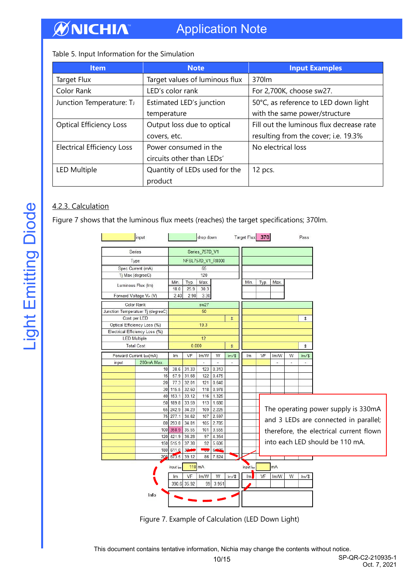### Application Note

Table 5. Input Information for the Simulation

| <b>Item</b>                       | <b>Note</b>                    | <b>Input Examples</b>                    |
|-----------------------------------|--------------------------------|------------------------------------------|
| Target Flux                       | Target values of luminous flux | 370lm                                    |
| Color Rank                        | LED's color rank               | For 2,700K, choose sw27.                 |
| Junction Temperature: TJ          | Estimated LED's junction       | 50°C, as reference to LED down light     |
|                                   | temperature                    | with the same power/structure            |
| <b>Optical Efficiency Loss</b>    | Output loss due to optical     | Fill out the luminous flux decrease rate |
|                                   | covers, etc.                   | resulting from the cover; i.e. 19.3%     |
| <b>Electrical Efficiency Loss</b> | Power consumed in the          | No electrical loss                       |
|                                   | circuits other than LEDs'      |                                          |
| <b>LED Multiple</b>               | Quantity of LEDs used for the  | 12 pcs.                                  |
|                                   | product                        |                                          |

#### 4.2.3. Calculation

Figure 7 shows that the luminous flux meets (reaches) the target specifications; 370lm.



Figure 7. Example of Calculation (LED Down Light)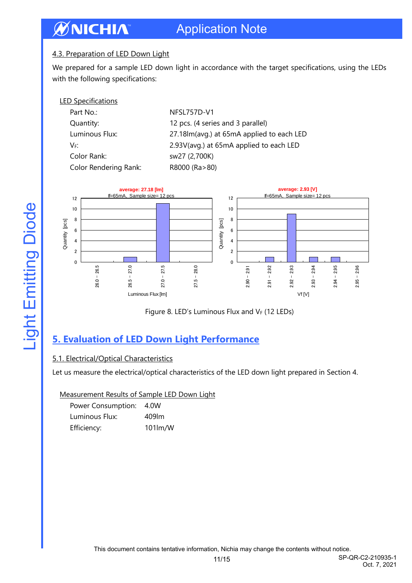### Application Note

#### 4.3. Preparation of LED Down Light

We prepared for a sample LED down light in accordance with the target specifications, using the LEDs with the following specifications:

| <b>LED Specifications</b> |                                               |
|---------------------------|-----------------------------------------------|
| Part No.:                 | NFSL757D-V1                                   |
| Quantity:                 | 12 pcs. (4 series and 3 parallel)             |
| Luminous Flux:            | 27.18 lm (avg.) at 65 m A applied to each LED |
| V⊧:                       | 2.93V(avg.) at 65mA applied to each LED       |
| Color Rank:               | sw27 (2,700K)                                 |
| Color Rendering Rank:     | R8000 (Ra>80)                                 |





### <span id="page-10-0"></span>**5. Evaluation of LED Down Light Performance**

#### 5.1. Electrical/Optical Characteristics

Let us measure the electrical/optical characteristics of the LED down light prepared in Section 4.

Measurement Results of Sample LED Down Light

| Power Consumption: | 4.0W    |
|--------------------|---------|
| Luminous Flux:     | 409 m   |
| Efficiency:        | 101lm/W |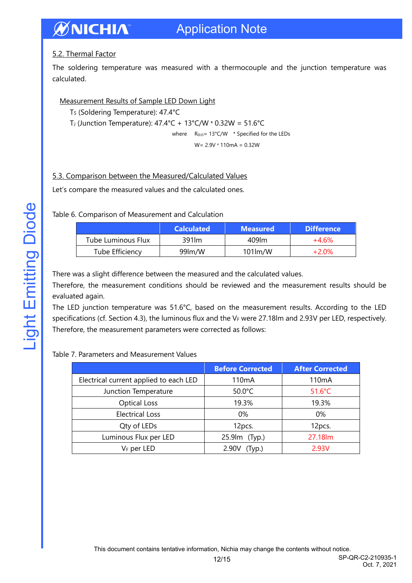#### ØNICHIA Application Note

#### 5.2. Thermal Factor

The soldering temperature was measured with a thermocouple and the junction temperature was calculated.

#### Measurement Results of Sample LED Down Light

Ts (Soldering Temperature): 47.4°C

T<sub>J</sub> (Junction Temperature):  $47.4^{\circ}$ C +  $13^{\circ}$ C/W × 0.32W =  $51.6^{\circ}$ C

where R<sub>ΘJS</sub>= 13°C/W \* Specified for the LEDs

 $W = 2.9V * 110mA = 0.32W$ 

#### 5.3. Comparison between the Measured/Calculated Values

Let's compare the measured values and the calculated ones.

Table 6. Comparison of Measurement and Calculation

|                    | <b>Calculated</b> | <b>Measured</b> | <b>Difference</b> |
|--------------------|-------------------|-----------------|-------------------|
| Tube Luminous Flux | 391 lm            | 409 m           | +4.6%             |
| Tube Efficiency    | 99lm/W            | $101$ lm/W      | $+2.0\%$          |

There was a slight difference between the measured and the calculated values.

Therefore, the measurement conditions should be reviewed and the measurement results should be evaluated again.

The LED junction temperature was 51.6°C, based on the measurement results. According to the LED specifications (cf. Section 4.3), the luminous flux and the VF were 27.18lm and 2.93V per LED, respectively. Therefore, the measurement parameters were corrected as follows:

#### Table 7. Parameters and Measurement Values

|                                        | <b>Before Corrected</b> | <b>After Corrected</b> |  |
|----------------------------------------|-------------------------|------------------------|--|
| Electrical current applied to each LED | 110 <sub>m</sub> A      | 110 <sub>m</sub> A     |  |
| Junction Temperature                   | $50.0^{\circ}$ C        | $51.6^{\circ}$ C       |  |
| <b>Optical Loss</b>                    | 19.3%                   | 19.3%                  |  |
| <b>Electrical Loss</b>                 | 0%                      | $0\%$                  |  |
| Qty of LEDs                            | 12pcs.                  | 12pcs.                 |  |
| Luminous Flux per LED                  | 25.9lm (Typ.)           | 27.18lm                |  |
| V <sub>F</sub> per LED                 | 2.90V<br>(Typ.)         | 2.93V                  |  |

Oct. 7, 2021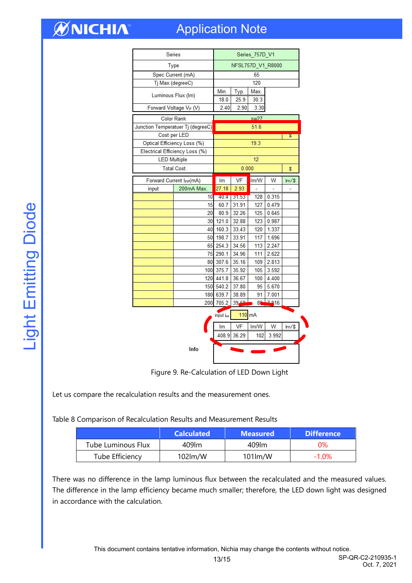## Application Note

| Series                         |                                   | Series 757D V1    |                 |                  |          |                |
|--------------------------------|-----------------------------------|-------------------|-----------------|------------------|----------|----------------|
| Type                           |                                   | NFSL757D V1 R8000 |                 |                  |          |                |
| Spec Current (mA)              |                                   | 65                |                 |                  |          |                |
| Tj Max (degreeC)               |                                   | 120               |                 |                  |          |                |
|                                | Luminous Flux (Im)                | Min.<br>18.0      | Typ.<br>25.9    | Max.<br>30.3     |          |                |
|                                | Forward Voltage VF (V)            | 2.40              | 2.90            | 3.30             |          |                |
| <b>Color Rank</b>              |                                   | sw27              |                 |                  |          |                |
|                                | Junction Temperatuer Tj (degreeC) | 51.6              |                 |                  |          |                |
| Cost per LED                   |                                   |                   |                 |                  |          | τ              |
|                                | Optical Efficiency Loss (%)       |                   |                 | 19.3             |          |                |
| Electrical Efficiency Loss (%) |                                   |                   |                 |                  |          |                |
| <b>LED Multiple</b>            |                                   | 12                |                 |                  |          |                |
| <b>Total Cost</b>              |                                   |                   | 0.000           |                  |          | \$             |
|                                | Forward Current IFP(mA)           | Im                | VF<br>Im/W<br>W |                  | $Im/$ \$ |                |
| input                          | 200mA Max.                        | 27.18             | 2.93            |                  |          |                |
|                                | 10                                | 40.4              | 31.53           | 128              | 0.315    |                |
|                                | 15                                | 60.7              | 31.91           | 127              | 0.479    |                |
|                                | 20                                | 80.9              | 32.26           | 125              | 0.645    |                |
|                                | 30                                | 121.0             | 32.88           | 123              | 0.987    |                |
|                                | 40                                | 160.3             | 33.43           | 120              | 1.337    |                |
|                                | 50                                | 198.7             | 33.91           | 117              | 1.696    |                |
|                                | 65                                | 254.3             | 34.56           | 113              | 2.247    |                |
|                                | 75                                | 290.1             | 34.96           | 111              | 2.622    |                |
|                                |                                   | 80 307.6          | 35.16           | 109              | 2.813    |                |
|                                |                                   | 100 375.7         | 35.92           | 105              | 3.592    |                |
|                                |                                   | 120 441.8         | 36.67           | 100              | 4.400    |                |
|                                |                                   | 150 540.2         | 37.80           | 95               | 5.670    |                |
|                                |                                   | 180 639.7         | 38.89           | 91               | 7.001    |                |
|                                | 200                               | 705.2             | 39.50           |                  | 89 7916  |                |
|                                |                                   | input lee         |                 | $110 \text{ mA}$ |          |                |
|                                |                                   | Im                | VF              | Im/W             | W        | $\text{Im}/\$$ |
|                                |                                   | 408.9             | 36.29           | 102              | 3.992    |                |
|                                | Info                              |                   |                 |                  |          |                |

Figure 9. Re-Calculation of LED Down Light

Let us compare the recalculation results and the measurement ones.

Table 8 Comparison of Recalculation Results and Measurement Results

|                           | <b>Calculated</b> | <b>Measured</b> | <b>Difference</b> |
|---------------------------|-------------------|-----------------|-------------------|
| <b>Tube Luminous Flux</b> | 409lm             | 409 m           | 0%                |
| Tube Efficiency           | 102m/W            | $101$ lm/W      | $-1.0\%$          |

There was no difference in the lamp luminous flux between the recalculated and the measured values. The difference in the lamp efficiency became much smaller; therefore, the LED down light was designed in accordance with the calculation.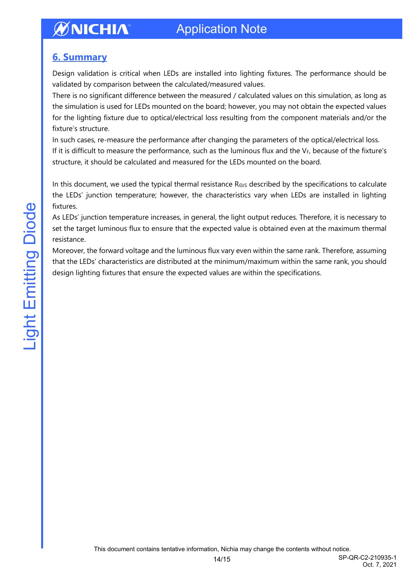### <span id="page-13-0"></span>**6. Summary**

Design validation is critical when LEDs are installed into lighting fixtures. The performance should be validated by comparison between the calculated/measured values.

There is no significant difference between the measured / calculated values on this simulation, as long as the simulation is used for LEDs mounted on the board; however, you may not obtain the expected values for the lighting fixture due to optical/electrical loss resulting from the component materials and/or the fixture's structure.

In such cases, re-measure the performance after changing the parameters of the optical/electrical loss. If it is difficult to measure the performance, such as the luminous flux and the  $V_F$ , because of the fixture's structure, it should be calculated and measured for the LEDs mounted on the board.

In this document, we used the typical thermal resistance RΘJS described by the specifications to calculate the LEDs' junction temperature; however, the characteristics vary when LEDs are installed in lighting fixtures.

As LEDs' junction temperature increases, in general, the light output reduces. Therefore, it is necessary to set the target luminous flux to ensure that the expected value is obtained even at the maximum thermal resistance.

Moreover, the forward voltage and the luminous flux vary even within the same rank. Therefore, assuming that the LEDs' characteristics are distributed at the minimum/maximum within the same rank, you should design lighting fixtures that ensure the expected values are within the specifications.